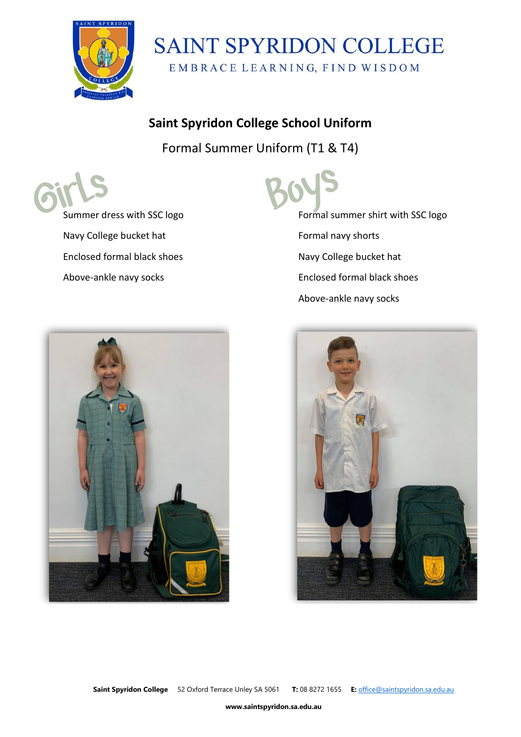

### **SAINT SPYRIDON COLLEGE** EMBRACE LEARNING, FIND WISDOM

#### **Saint Spyridon College School Uniform**

Formal Summer Uniform (T1 & T4)

Summer dress with SSC logo Navy College bucket hat Enclosed formal black shoes Above-ankle navy socks



Formal summer shirt with SSC logo Formal navy shorts Navy College bucket hat Enclosed formal black shoes Above-ankle navy socks



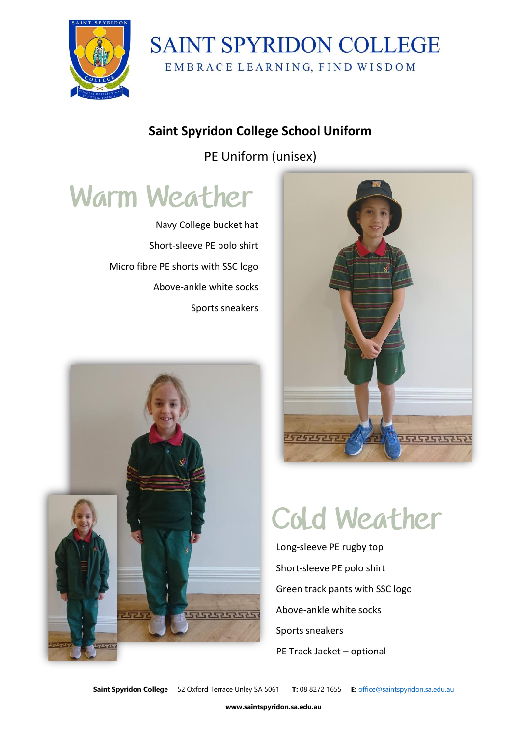

### **SAINT SPYRIDON COLLEGE** EMBRACE LEARNING, FIND WISDOM

#### **Saint Spyridon College School Uniform**

PE Uniform (unisex)

# **Warm Weather**

Navy College bucket hat Short-sleeve PE polo shirt Micro fibre PE shorts with SSC logo Above-ankle white socks Sports sneakers





# **Cold Weather**

Long-sleeve PE rugby top Short-sleeve PE polo shirt Green track pants with SSC logo Above-ankle white socks Sports sneakers PE Track Jacket – optional